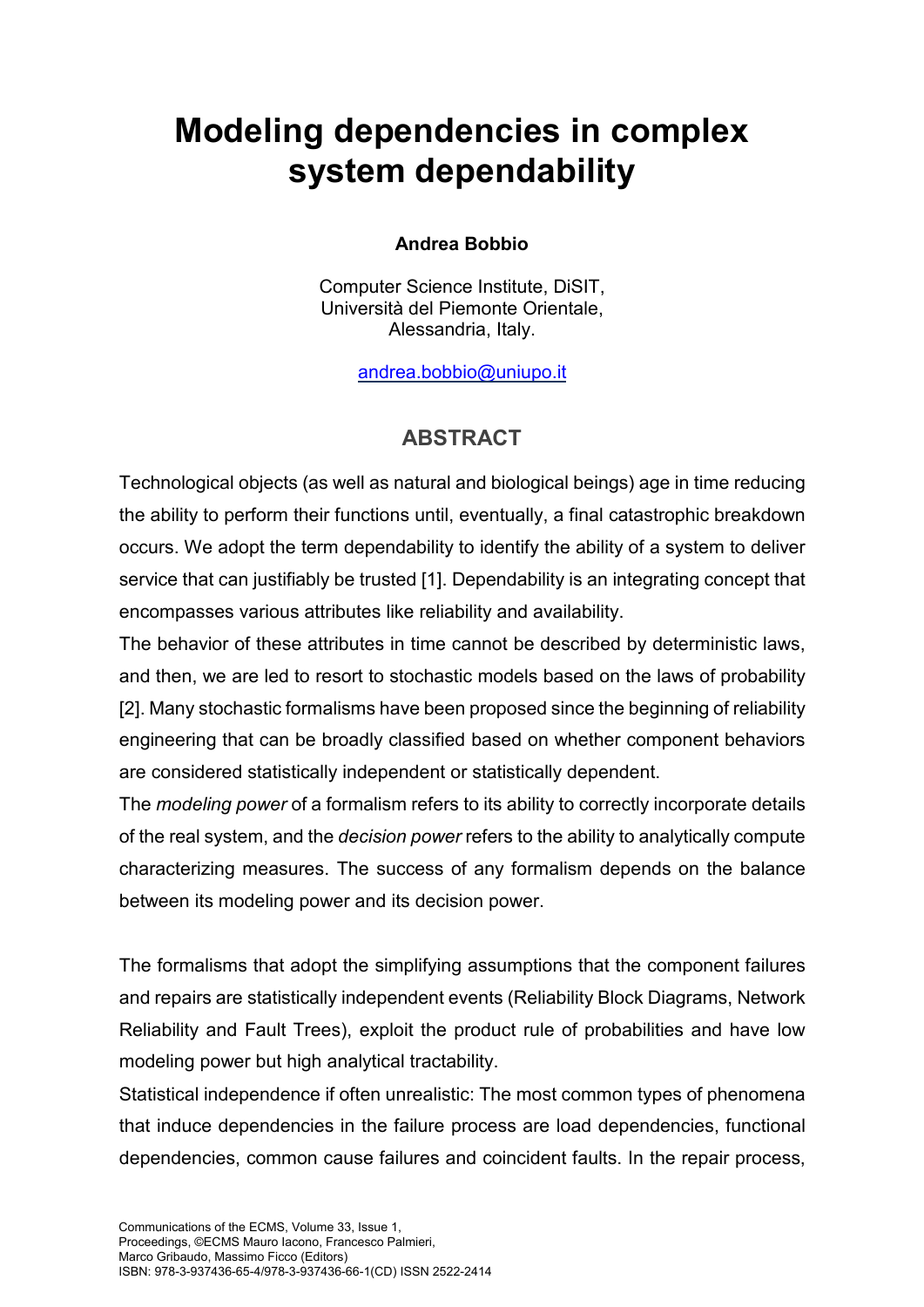## **Modeling dependencies in complex system dependability**

## **Andrea Bobbio**

Computer Science Institute, DiSIT, Università del Piemonte Orientale, Alessandria, Italy.

[andrea.bobbio@uniupo.it](mailto:andrea.bobbio@uniupo.it)

## **ABSTRACT**

Technological objects (as well as natural and biological beings) age in time reducing the ability to perform their functions until, eventually, a final catastrophic breakdown occurs. We adopt the term dependability to identify the ability of a system to deliver service that can justifiably be trusted [1]. Dependability is an integrating concept that encompasses various attributes like reliability and availability.

The behavior of these attributes in time cannot be described by deterministic laws, and then, we are led to resort to stochastic models based on the laws of probability [2]. Many stochastic formalisms have been proposed since the beginning of reliability engineering that can be broadly classified based on whether component behaviors are considered statistically independent or statistically dependent.

The *modeling power* of a formalism refers to its ability to correctly incorporate details of the real system, and the *decision power* refers to the ability to analytically compute characterizing measures. The success of any formalism depends on the balance between its modeling power and its decision power.

The formalisms that adopt the simplifying assumptions that the component failures and repairs are statistically independent events (Reliability Block Diagrams, Network Reliability and Fault Trees), exploit the product rule of probabilities and have low modeling power but high analytical tractability.

Statistical independence if often unrealistic: The most common types of phenomena that induce dependencies in the failure process are load dependencies, functional dependencies, common cause failures and coincident faults. In the repair process,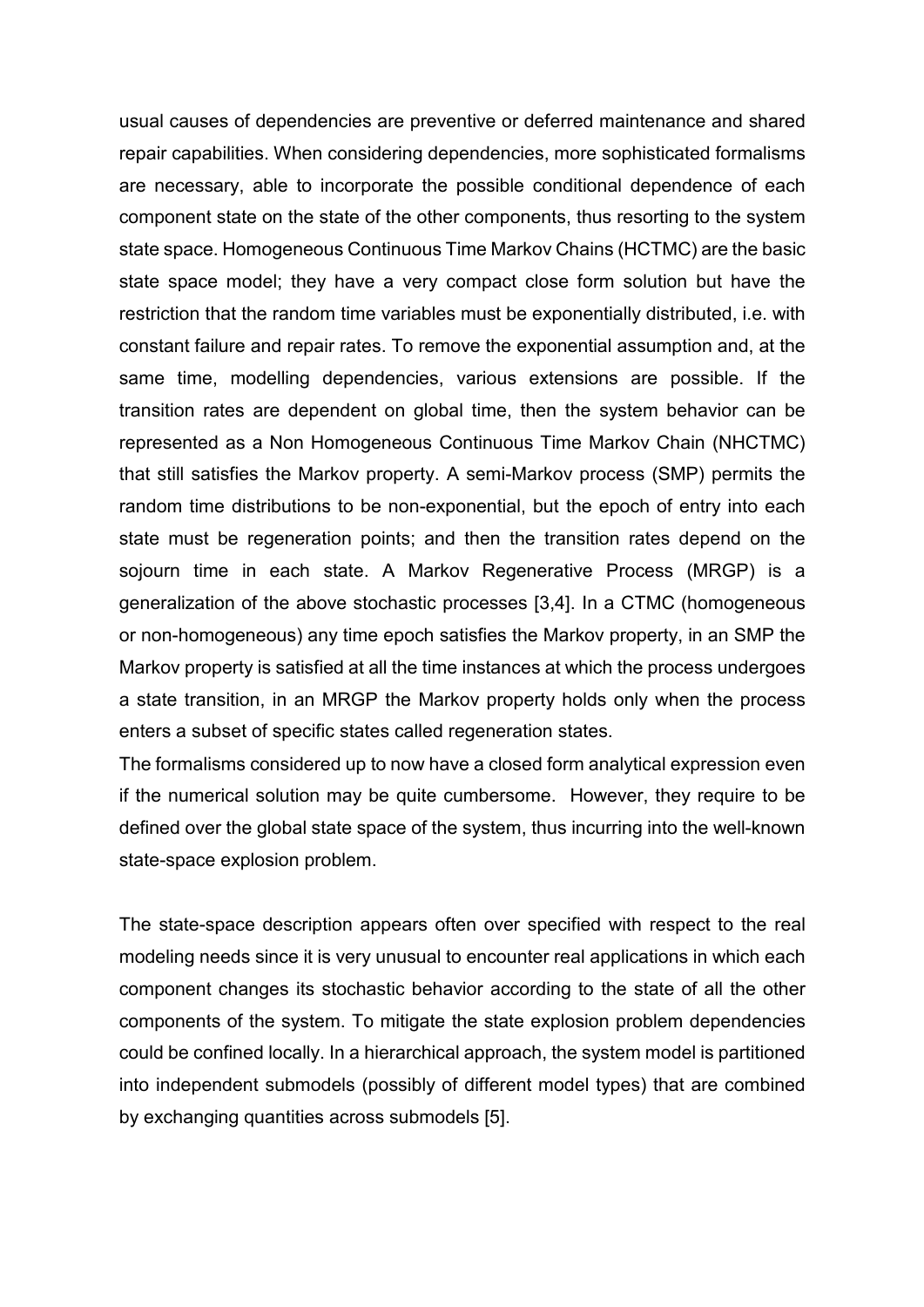usual causes of dependencies are preventive or deferred maintenance and shared repair capabilities. When considering dependencies, more sophisticated formalisms are necessary, able to incorporate the possible conditional dependence of each component state on the state of the other components, thus resorting to the system state space. Homogeneous Continuous Time Markov Chains (HCTMC) are the basic state space model; they have a very compact close form solution but have the restriction that the random time variables must be exponentially distributed, i.e. with constant failure and repair rates. To remove the exponential assumption and, at the same time, modelling dependencies, various extensions are possible. If the transition rates are dependent on global time, then the system behavior can be represented as a Non Homogeneous Continuous Time Markov Chain (NHCTMC) that still satisfies the Markov property. A semi-Markov process (SMP) permits the random time distributions to be non-exponential, but the epoch of entry into each state must be regeneration points; and then the transition rates depend on the sojourn time in each state. A Markov Regenerative Process (MRGP) is a generalization of the above stochastic processes [3,4]. In a CTMC (homogeneous or non-homogeneous) any time epoch satisfies the Markov property, in an SMP the Markov property is satisfied at all the time instances at which the process undergoes a state transition, in an MRGP the Markov property holds only when the process enters a subset of specific states called regeneration states.

The formalisms considered up to now have a closed form analytical expression even if the numerical solution may be quite cumbersome. However, they require to be defined over the global state space of the system, thus incurring into the well-known state-space explosion problem.

The state-space description appears often over specified with respect to the real modeling needs since it is very unusual to encounter real applications in which each component changes its stochastic behavior according to the state of all the other components of the system. To mitigate the state explosion problem dependencies could be confined locally. In a hierarchical approach, the system model is partitioned into independent submodels (possibly of different model types) that are combined by exchanging quantities across submodels [5].